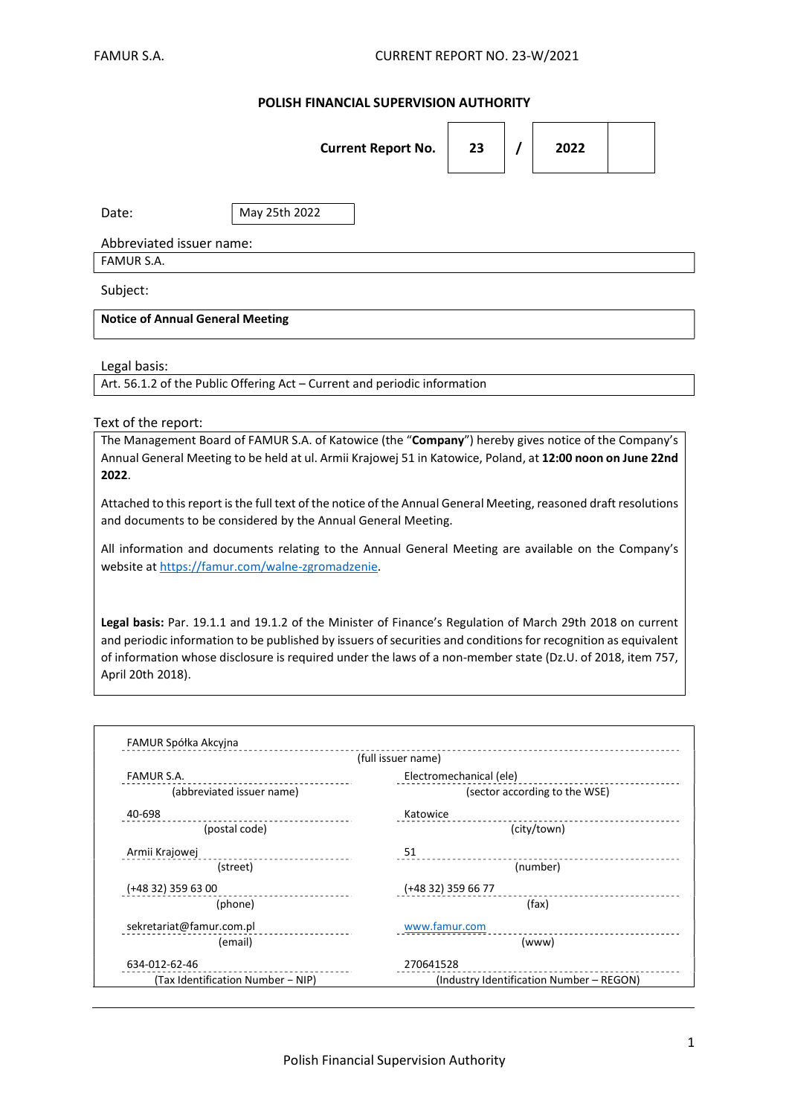## POLISH FINANCIAL SUPERVISION AUTHORITY

|                                                                                                                                                                                                                                                                                                                                                                                                                                                                                                                                                                                                                                                                                                                                                                                                                                                                                                                                                                     |                           | <b>Current Report No.</b> | 23                      | 7 | 2022                          |  |  |
|---------------------------------------------------------------------------------------------------------------------------------------------------------------------------------------------------------------------------------------------------------------------------------------------------------------------------------------------------------------------------------------------------------------------------------------------------------------------------------------------------------------------------------------------------------------------------------------------------------------------------------------------------------------------------------------------------------------------------------------------------------------------------------------------------------------------------------------------------------------------------------------------------------------------------------------------------------------------|---------------------------|---------------------------|-------------------------|---|-------------------------------|--|--|
| Date:                                                                                                                                                                                                                                                                                                                                                                                                                                                                                                                                                                                                                                                                                                                                                                                                                                                                                                                                                               | May 25th 2022             |                           |                         |   |                               |  |  |
| Abbreviated issuer name:                                                                                                                                                                                                                                                                                                                                                                                                                                                                                                                                                                                                                                                                                                                                                                                                                                                                                                                                            |                           |                           |                         |   |                               |  |  |
| <b>FAMUR S.A.</b>                                                                                                                                                                                                                                                                                                                                                                                                                                                                                                                                                                                                                                                                                                                                                                                                                                                                                                                                                   |                           |                           |                         |   |                               |  |  |
| Subject:                                                                                                                                                                                                                                                                                                                                                                                                                                                                                                                                                                                                                                                                                                                                                                                                                                                                                                                                                            |                           |                           |                         |   |                               |  |  |
| <b>Notice of Annual General Meeting</b>                                                                                                                                                                                                                                                                                                                                                                                                                                                                                                                                                                                                                                                                                                                                                                                                                                                                                                                             |                           |                           |                         |   |                               |  |  |
| Legal basis:<br>Art. 56.1.2 of the Public Offering Act - Current and periodic information                                                                                                                                                                                                                                                                                                                                                                                                                                                                                                                                                                                                                                                                                                                                                                                                                                                                           |                           |                           |                         |   |                               |  |  |
|                                                                                                                                                                                                                                                                                                                                                                                                                                                                                                                                                                                                                                                                                                                                                                                                                                                                                                                                                                     |                           |                           |                         |   |                               |  |  |
| Text of the report:<br>The Management Board of FAMUR S.A. of Katowice (the "Company") hereby gives notice of the Company's<br>Annual General Meeting to be held at ul. Armii Krajowej 51 in Katowice, Poland, at 12:00 noon on June 22nd<br>2022.<br>Attached to this report is the full text of the notice of the Annual General Meeting, reasoned draft resolutions<br>and documents to be considered by the Annual General Meeting.<br>All information and documents relating to the Annual General Meeting are available on the Company's<br>website at https://famur.com/walne-zgromadzenie.<br>Legal basis: Par. 19.1.1 and 19.1.2 of the Minister of Finance's Regulation of March 29th 2018 on current<br>and periodic information to be published by issuers of securities and conditions for recognition as equivalent<br>of information whose disclosure is required under the laws of a non-member state (Dz.U. of 2018, item 757,<br>April 20th 2018). |                           |                           |                         |   |                               |  |  |
| FAMUR Spółka Akcyjna                                                                                                                                                                                                                                                                                                                                                                                                                                                                                                                                                                                                                                                                                                                                                                                                                                                                                                                                                |                           | (full issuer name)        |                         |   |                               |  |  |
| <b>FAMUR S.A.</b>                                                                                                                                                                                                                                                                                                                                                                                                                                                                                                                                                                                                                                                                                                                                                                                                                                                                                                                                                   | (abbreviated issuer name) |                           | Electromechanical (ele) |   | (sector according to the WSE) |  |  |
| 40-698                                                                                                                                                                                                                                                                                                                                                                                                                                                                                                                                                                                                                                                                                                                                                                                                                                                                                                                                                              | (postal code)             | Katowice                  |                         |   | (city/town)                   |  |  |

THE INTERNATION IS INTERNATIONAL TRANSIST (Industry Identification Number – REGON)

(street) (number)

Armii Krajowej 1990 - 1990 - 1990 - 1991 - 1992 - 1993 - 1994 - 1994 - 1994 - 1995 - 1996 - 1997 - 1998 - 199

sekretariat@famur.com.pl www.famur.com

(phone) (fax)

(email) (www)

(+48 32) 359 63 00 (+48 32) 359 66 77

.634-012-62-46 270641528<br>.<sup>270641528</sup> - 1754-1810 (Tax Identification Number – NIP)

 $-1$